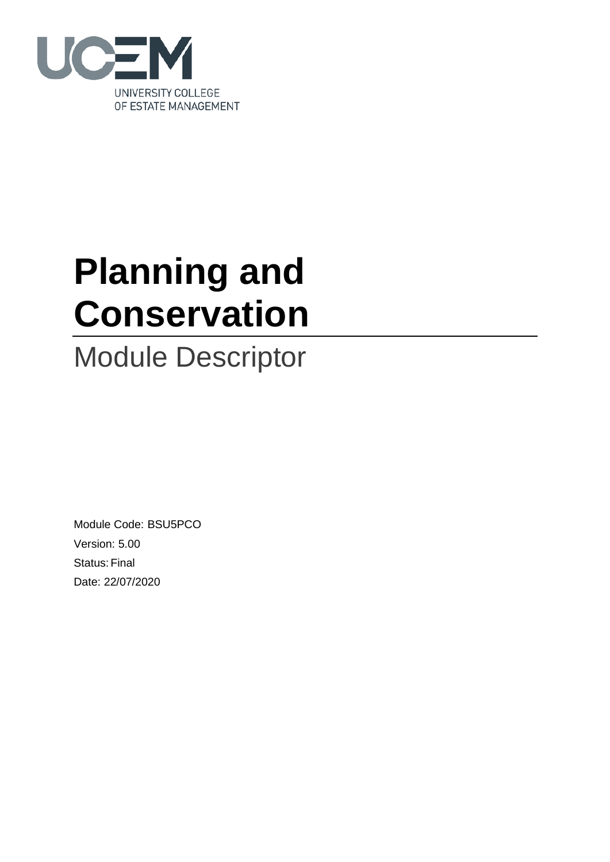

# **Planning and Conservation**

## Module Descriptor

Module Code: BSU5PCO Version: 5.00 Status: Final Date: 22/07/2020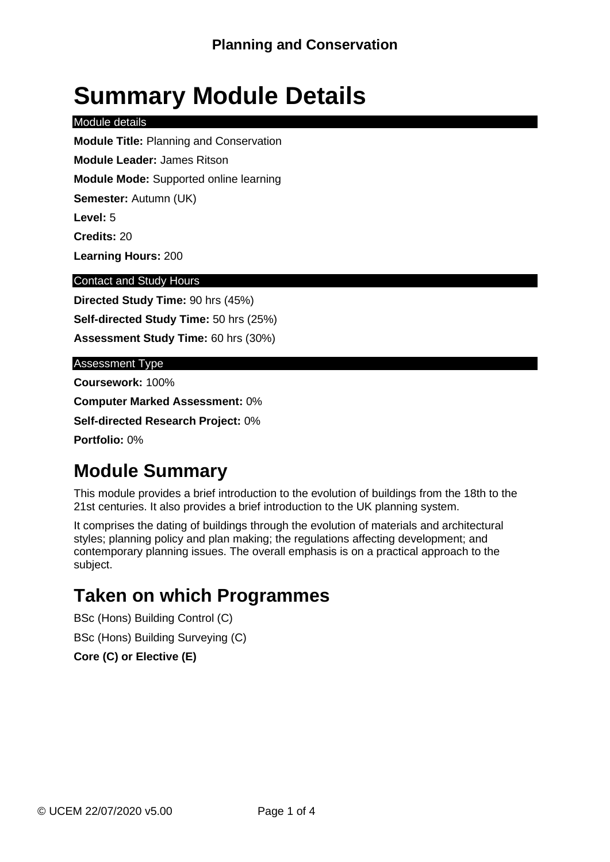## **Summary Module Details**

#### Module details

**Module Title:** Planning and Conservation

**Module Leader:** James Ritson

**Module Mode:** Supported online learning

**Semester:** Autumn (UK)

**Level:** 5

**Credits:** 20

**Learning Hours:** 200

#### Contact and Study Hours

**Directed Study Time:** 90 hrs (45%) **Self-directed Study Time:** 50 hrs (25%) **Assessment Study Time:** 60 hrs (30%)

#### Assessment Type

**Coursework:** 100% **Computer Marked Assessment:** 0%

**Self-directed Research Project:** 0%

**Portfolio:** 0%

### **Module Summary**

This module provides a brief introduction to the evolution of buildings from the 18th to the 21st centuries. It also provides a brief introduction to the UK planning system.

It comprises the dating of buildings through the evolution of materials and architectural styles; planning policy and plan making; the regulations affecting development; and contemporary planning issues. The overall emphasis is on a practical approach to the subject.

### **Taken on which Programmes**

BSc (Hons) Building Control (C) BSc (Hons) Building Surveying (C) **Core (C) or Elective (E)**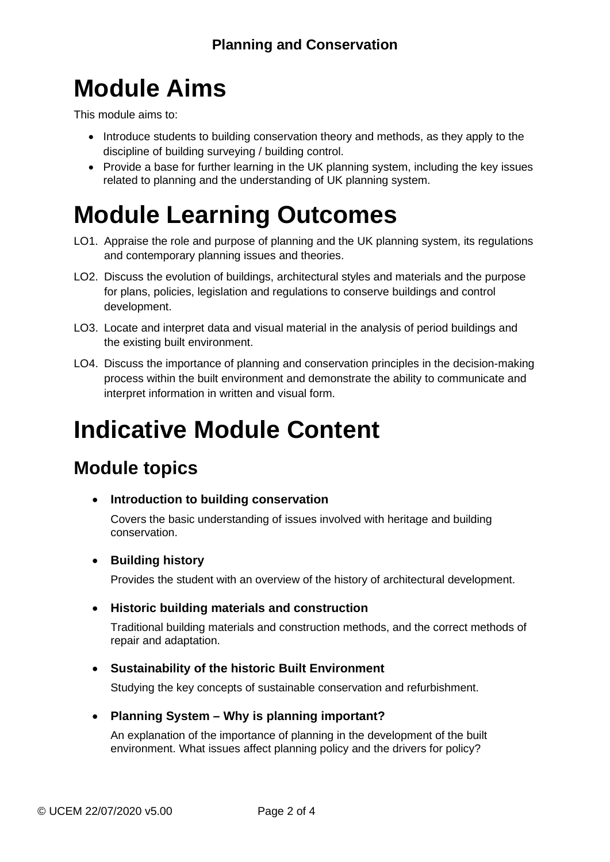## **Module Aims**

This module aims to:

- Introduce students to building conservation theory and methods, as they apply to the discipline of building surveying / building control.
- Provide a base for further learning in the UK planning system, including the key issues related to planning and the understanding of UK planning system.

## **Module Learning Outcomes**

- LO1. Appraise the role and purpose of planning and the UK planning system, its regulations and contemporary planning issues and theories.
- LO2. Discuss the evolution of buildings, architectural styles and materials and the purpose for plans, policies, legislation and regulations to conserve buildings and control development.
- LO3. Locate and interpret data and visual material in the analysis of period buildings and the existing built environment.
- LO4. Discuss the importance of planning and conservation principles in the decision-making process within the built environment and demonstrate the ability to communicate and interpret information in written and visual form.

## **Indicative Module Content**

### **Module topics**

• **Introduction to building conservation**

Covers the basic understanding of issues involved with heritage and building conservation.

#### • **Building history**

Provides the student with an overview of the history of architectural development.

#### • **Historic building materials and construction**

Traditional building materials and construction methods, and the correct methods of repair and adaptation.

#### • **Sustainability of the historic Built Environment**

Studying the key concepts of sustainable conservation and refurbishment.

#### • **Planning System – Why is planning important?**

An explanation of the importance of planning in the development of the built environment. What issues affect planning policy and the drivers for policy?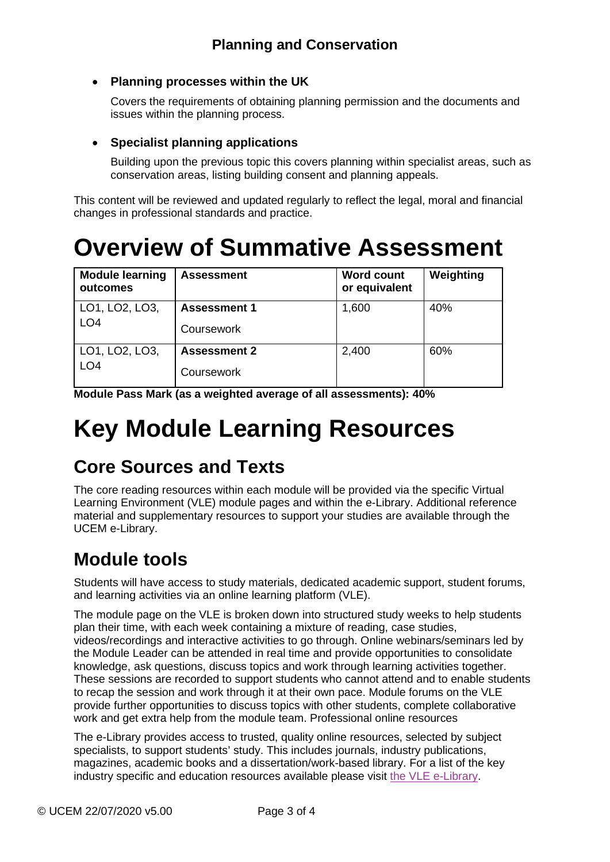#### • **Planning processes within the UK**

Covers the requirements of obtaining planning permission and the documents and issues within the planning process.

#### • **Specialist planning applications**

Building upon the previous topic this covers planning within specialist areas, such as conservation areas, listing building consent and planning appeals.

This content will be reviewed and updated regularly to reflect the legal, moral and financial changes in professional standards and practice.

### **Overview of Summative Assessment**

| <b>Module learning</b><br>outcomes | <b>Assessment</b>   | <b>Word count</b><br>or equivalent | Weighting |
|------------------------------------|---------------------|------------------------------------|-----------|
| LO1, LO2, LO3,<br>LO <sub>4</sub>  | <b>Assessment 1</b> | 1,600                              | 40%       |
|                                    | Coursework          |                                    |           |
| LO1, LO2, LO3,<br>LO <sub>4</sub>  | <b>Assessment 2</b> | 2,400                              | 60%       |
|                                    | Coursework          |                                    |           |

**Module Pass Mark (as a weighted average of all assessments): 40%**

## **Key Module Learning Resources**

### **Core Sources and Texts**

The core reading resources within each module will be provided via the specific Virtual Learning Environment (VLE) module pages and within the e-Library. Additional reference material and supplementary resources to support your studies are available through the UCEM e-Library.

### **Module tools**

Students will have access to study materials, dedicated academic support, student forums, and learning activities via an online learning platform (VLE).

The module page on the VLE is broken down into structured study weeks to help students plan their time, with each week containing a mixture of reading, case studies, videos/recordings and interactive activities to go through. Online webinars/seminars led by the Module Leader can be attended in real time and provide opportunities to consolidate knowledge, ask questions, discuss topics and work through learning activities together. These sessions are recorded to support students who cannot attend and to enable students to recap the session and work through it at their own pace. Module forums on the VLE provide further opportunities to discuss topics with other students, complete collaborative work and get extra help from the module team. Professional online resources

The e-Library provides access to trusted, quality online resources, selected by subject specialists, to support students' study. This includes journals, industry publications, magazines, academic books and a dissertation/work-based library. For a list of the key industry specific and education resources available please visit [the VLE e-Library.](https://learn.ucem.ac.uk/course/view.php?id=66)